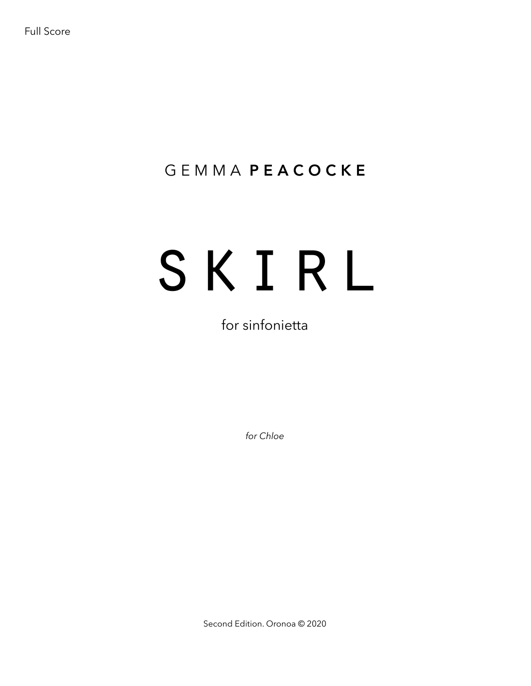## G E M M A P E A C O C K E

# SKIRL

### for sinfonietta

*for Chloe*

Second Edition. Oronoa *©* 2020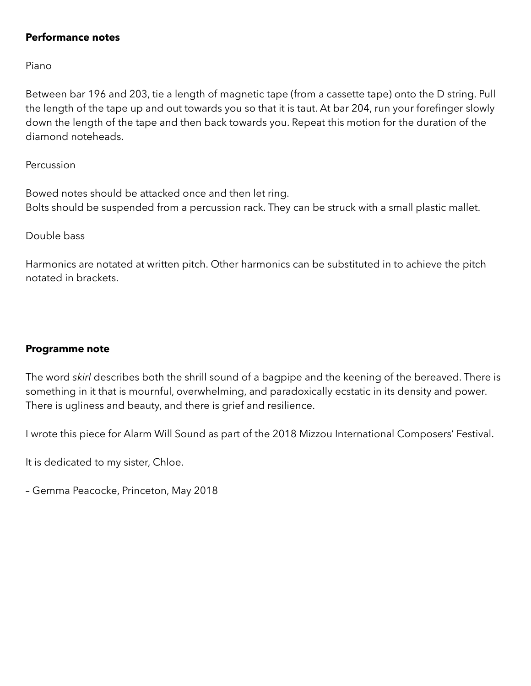#### **Performance notes**

Piano

Between bar 196 and 203, tie a length of magnetic tape (from a cassette tape) onto the D string. Pull the length of the tape up and out towards you so that it is taut. At bar 204, run your forefinger slowly down the length of the tape and then back towards you. Repeat this motion for the duration of the diamond noteheads.

Percussion

Bowed notes should be attacked once and then let ring. Bolts should be suspended from a percussion rack. They can be struck with a small plastic mallet.

Double bass

Harmonics are notated at written pitch. Other harmonics can be substituted in to achieve the pitch notated in brackets.

#### **Programme note**

The word *skirl* describes both the shrill sound of a bagpipe and the keening of the bereaved. There is something in it that is mournful, overwhelming, and paradoxically ecstatic in its density and power. There is ugliness and beauty, and there is grief and resilience.

I wrote this piece for Alarm Will Sound as part of the 2018 Mizzou International Composers' Festival.

It is dedicated to my sister, Chloe.

– Gemma Peacocke, Princeton, May 2018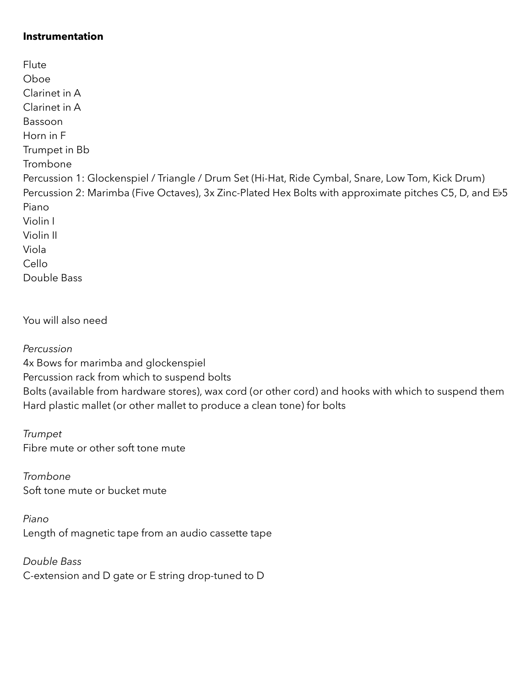#### **Instrumentation**

Flute Oboe Clarinet in A Clarinet in A Bassoon Horn in F Trumpet in Bb Trombone Percussion 1: Glockenspiel / Triangle / Drum Set (Hi-Hat, Ride Cymbal, Snare, Low Tom, Kick Drum) Percussion 2: Marimba (Five Octaves), 3x Zinc-Plated Hex Bolts with approximate pitches C5, D, and Eb5 Piano Violin I Violin II Viola Cello Double Bass

You will also need

*Percussion*

4x Bows for marimba and glockenspiel Percussion rack from which to suspend bolts Bolts (available from hardware stores), wax cord (or other cord) and hooks with which to suspend them Hard plastic mallet (or other mallet to produce a clean tone) for bolts

*Trumpet* Fibre mute or other soft tone mute

*Trombone* Soft tone mute or bucket mute

*Piano* Length of magnetic tape from an audio cassette tape

*Double Bass* C-extension and D gate or E string drop-tuned to D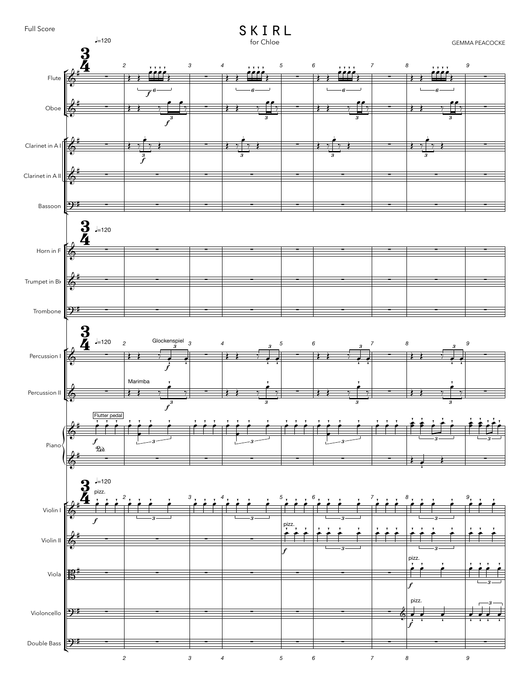Full Score

# $S$   $K$   $I$   $R$   $L$  for Chloe

GEMMA PEACOCKE

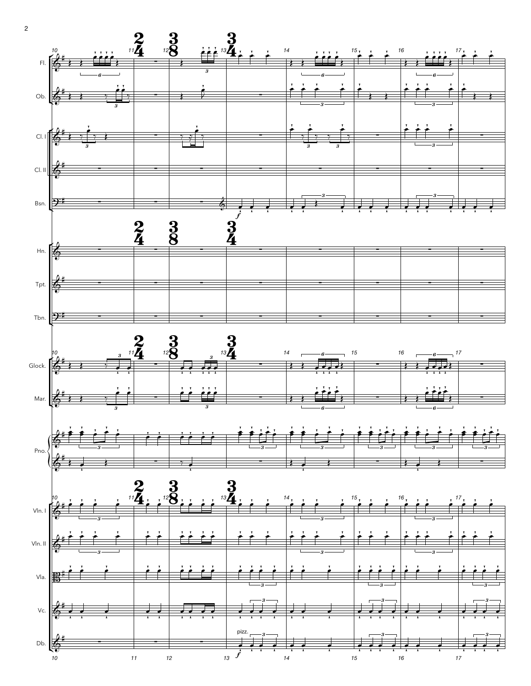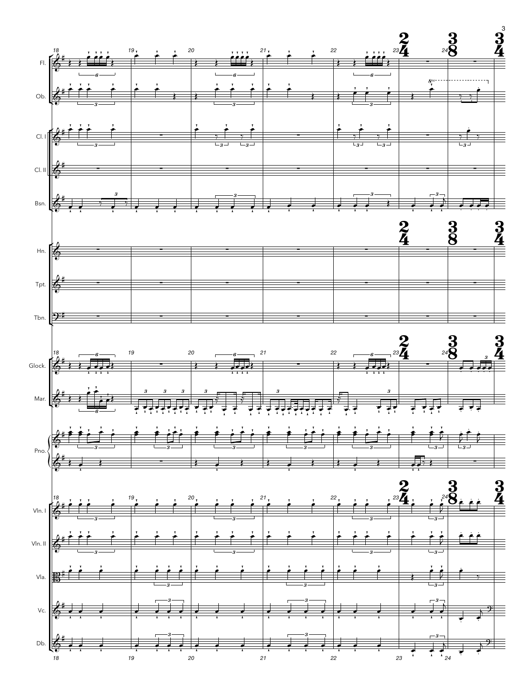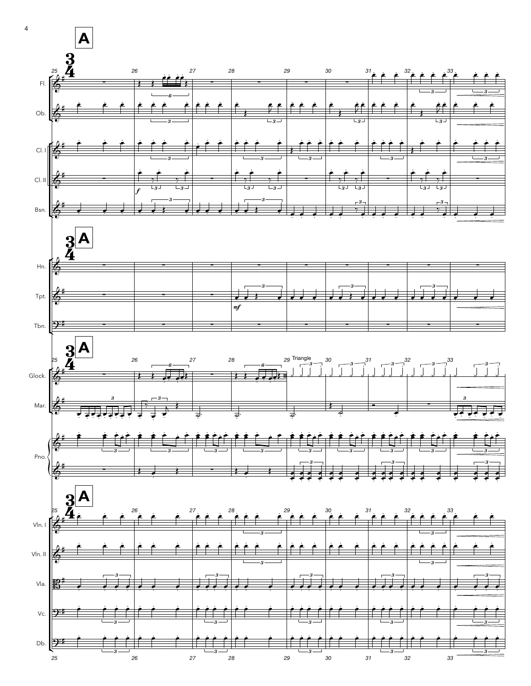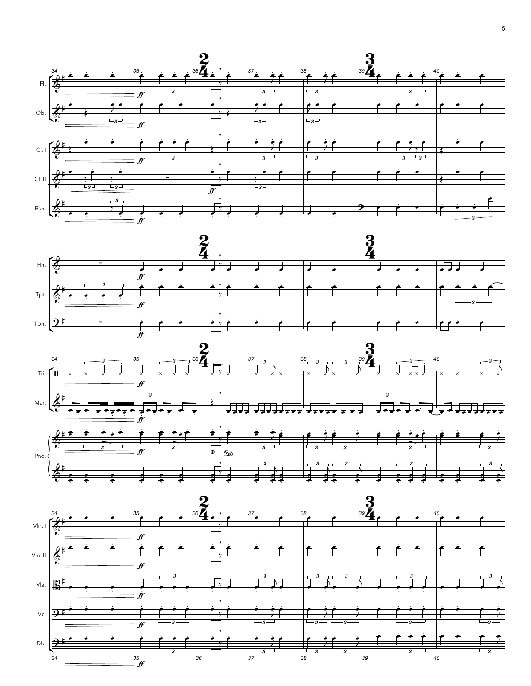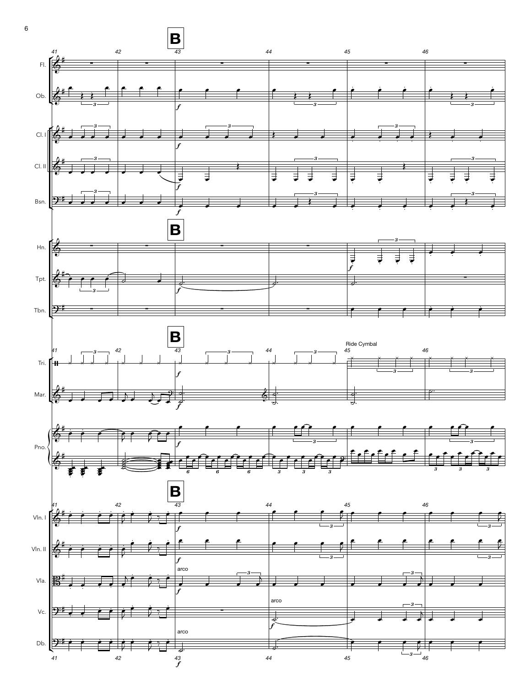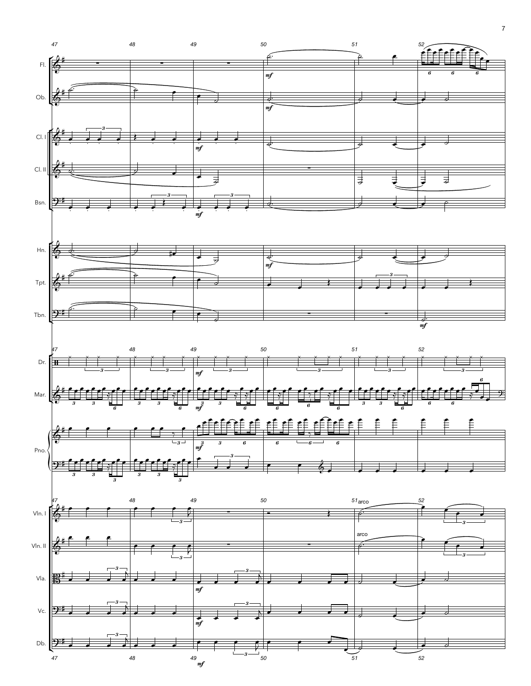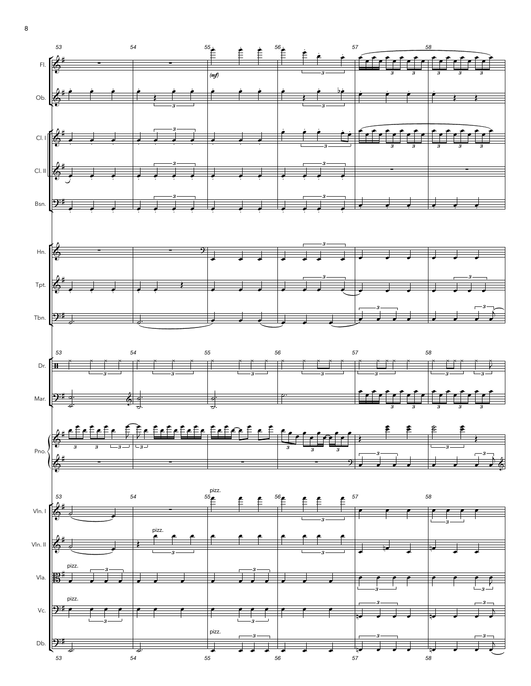

 $\boldsymbol{8}$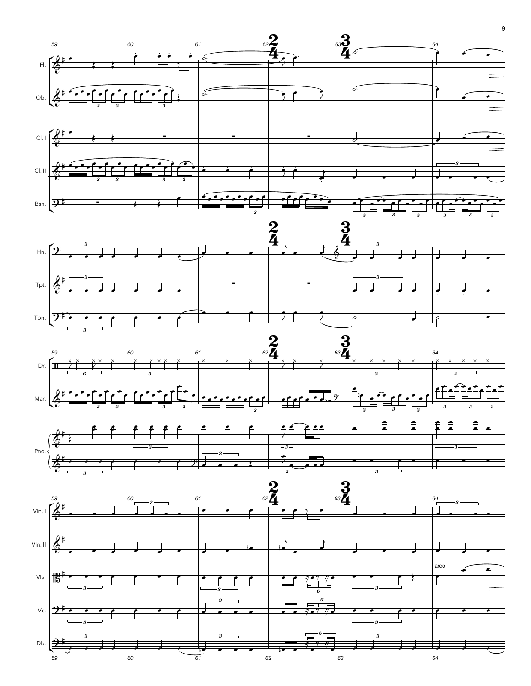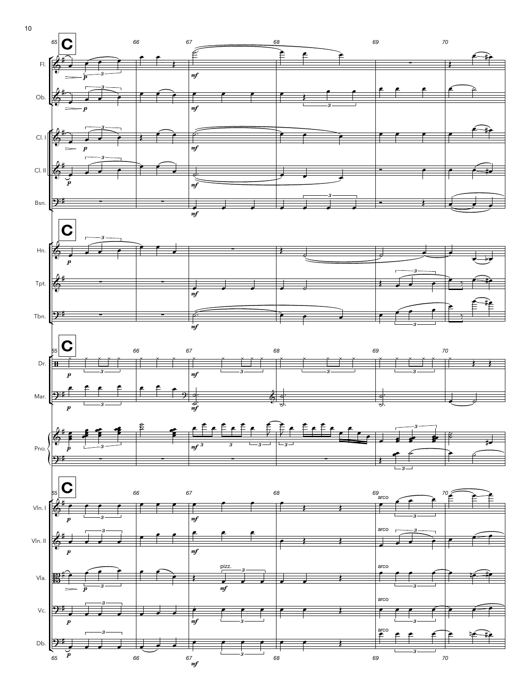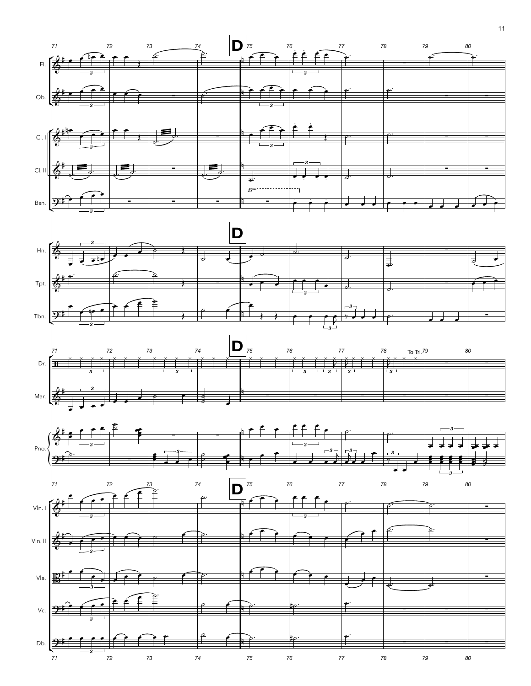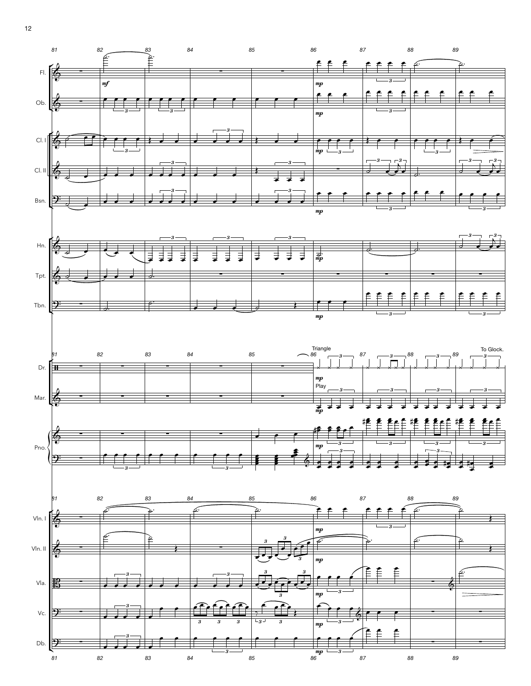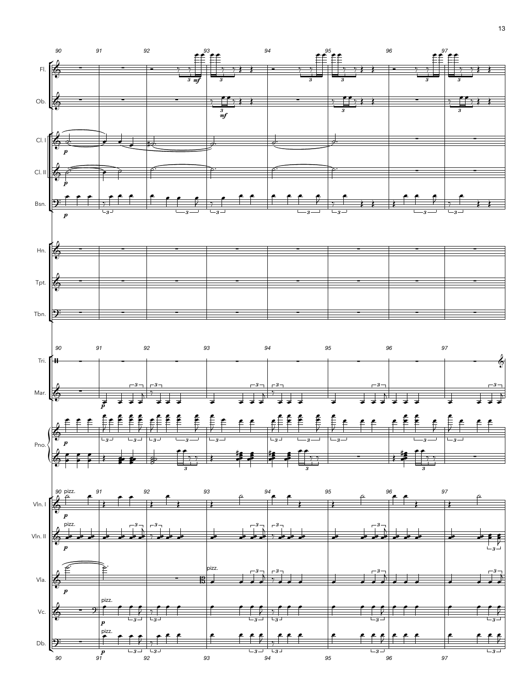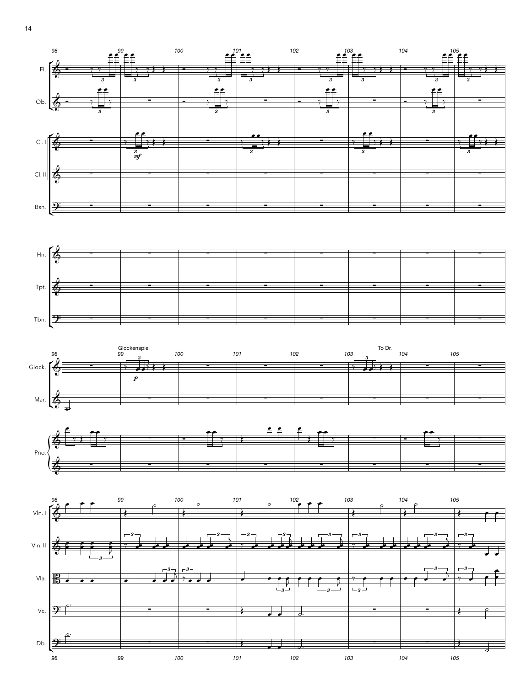

*98 99 100 101 102 103 104 105*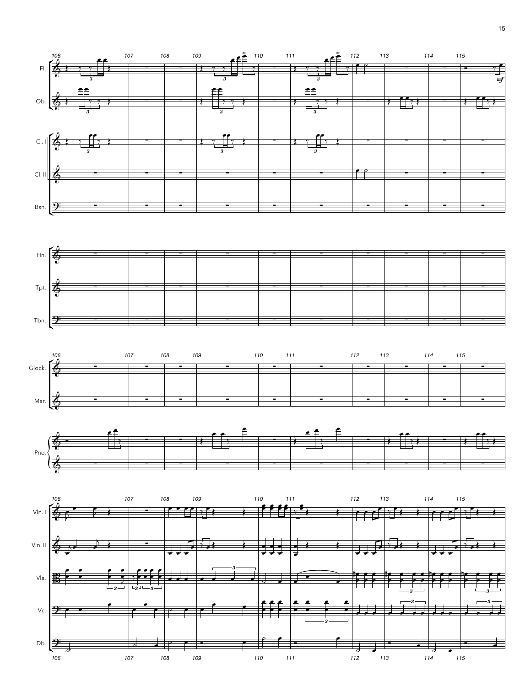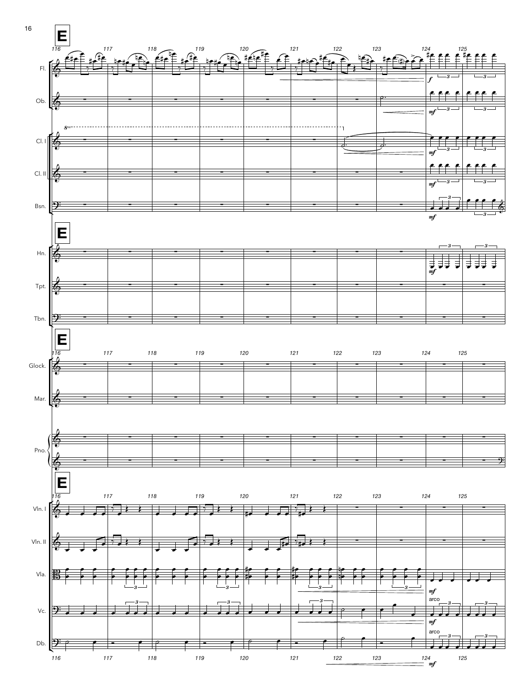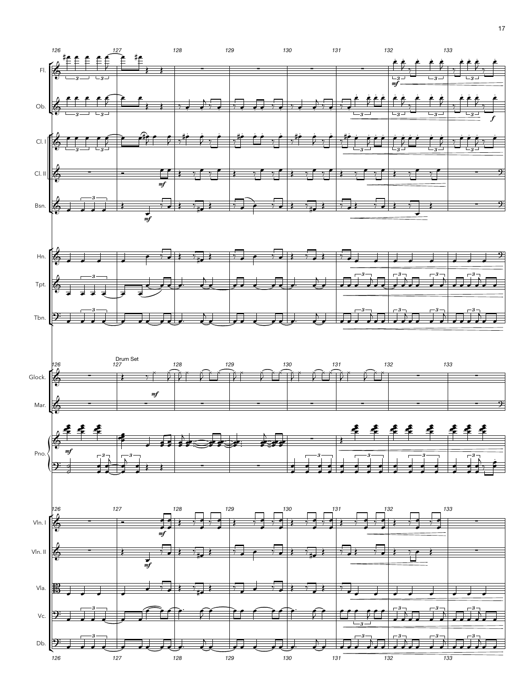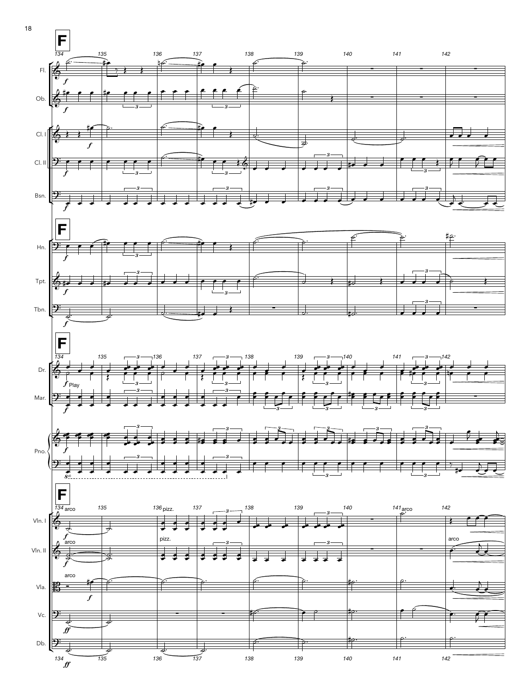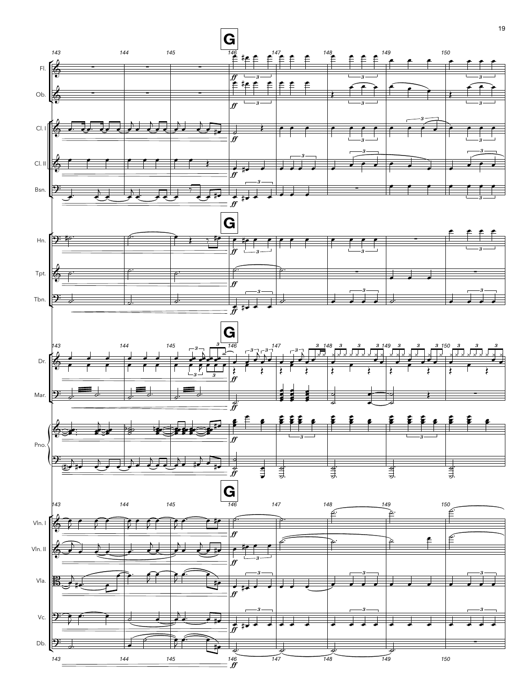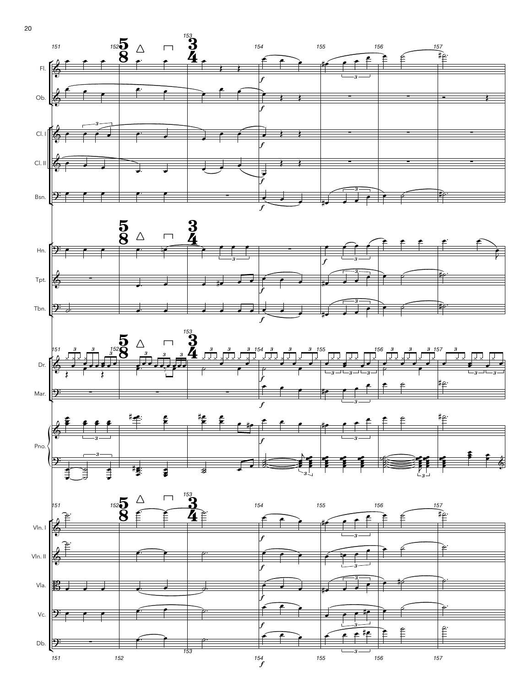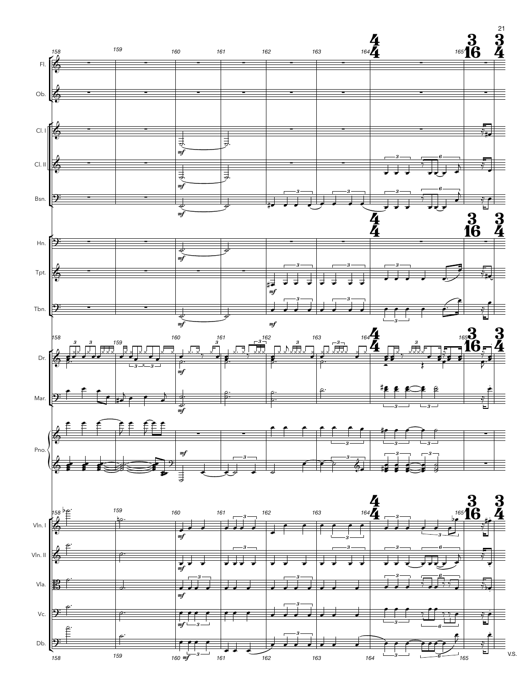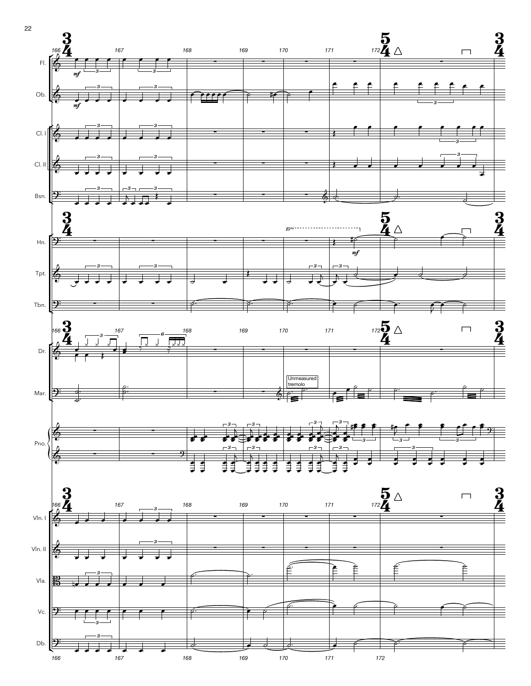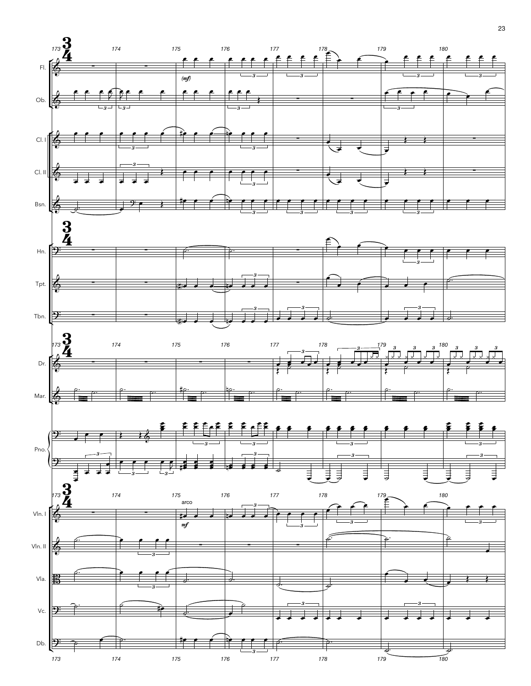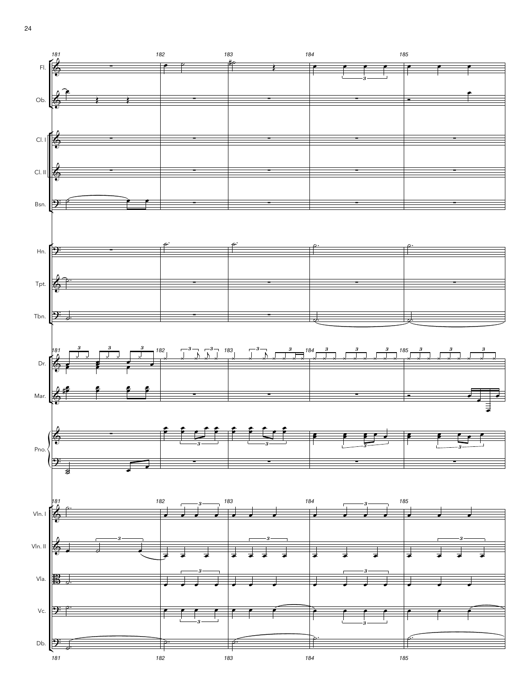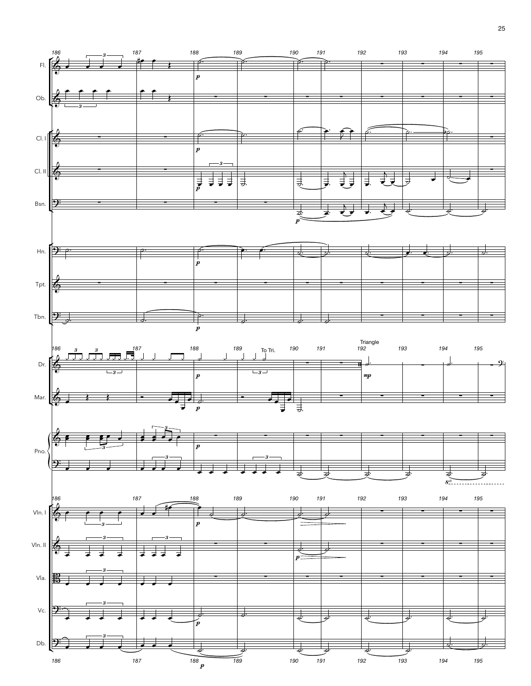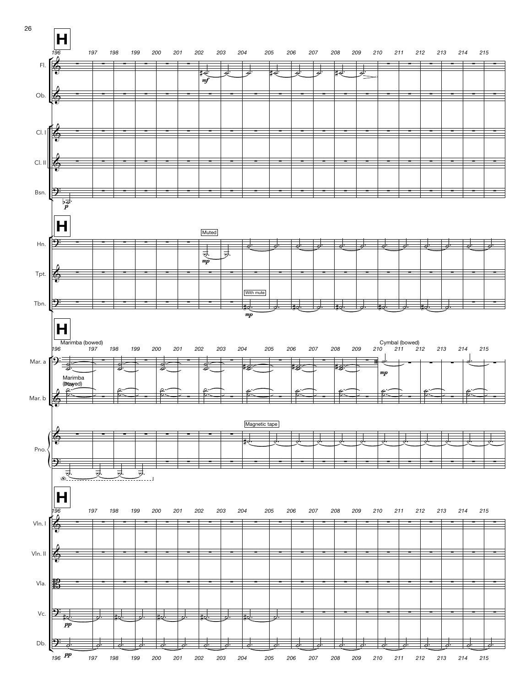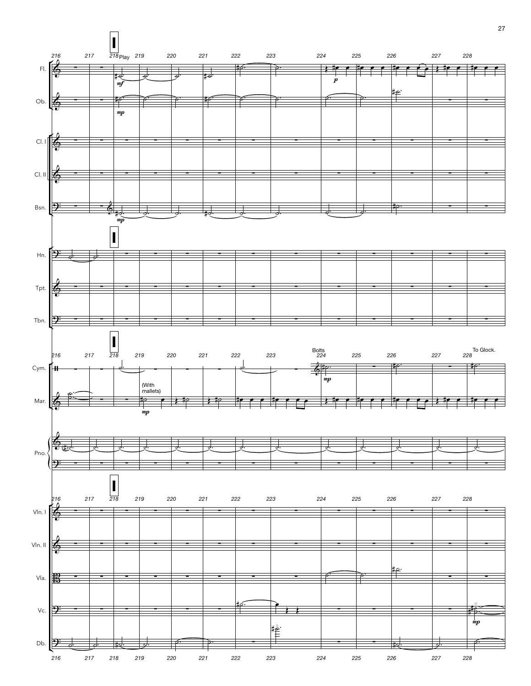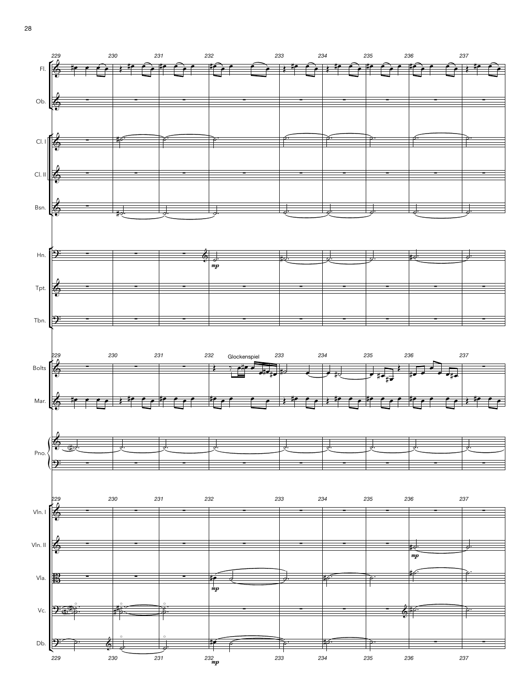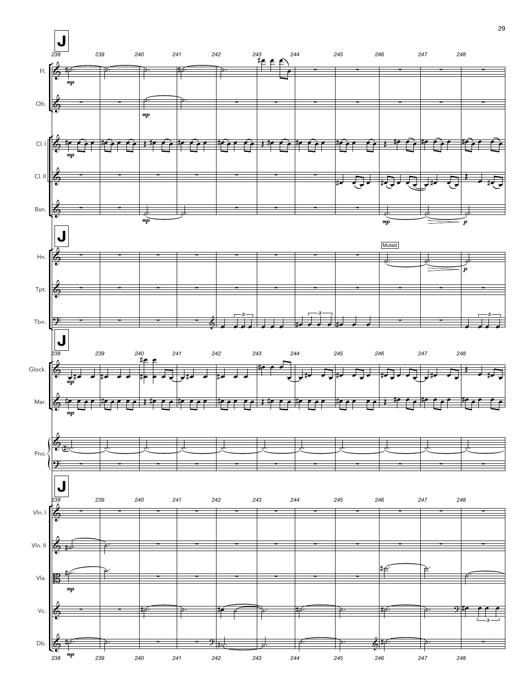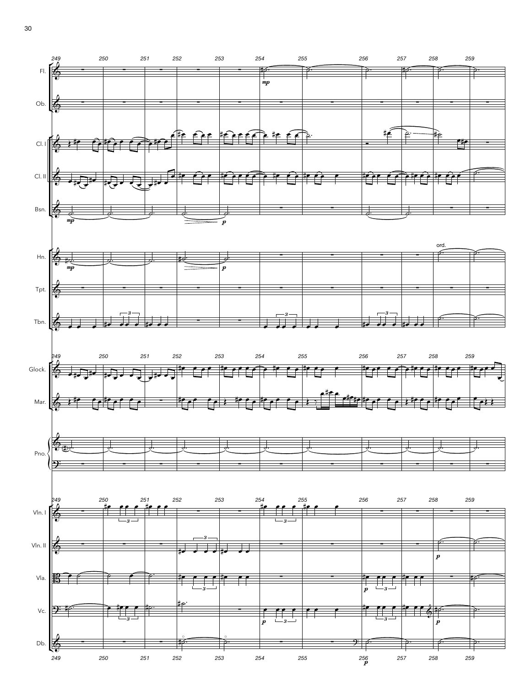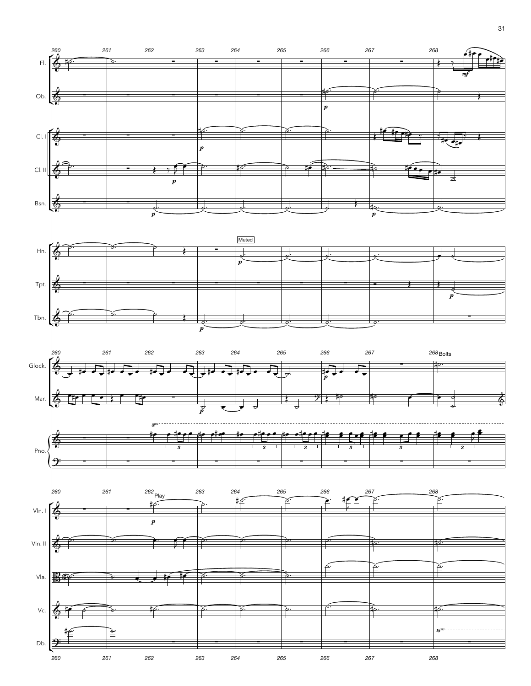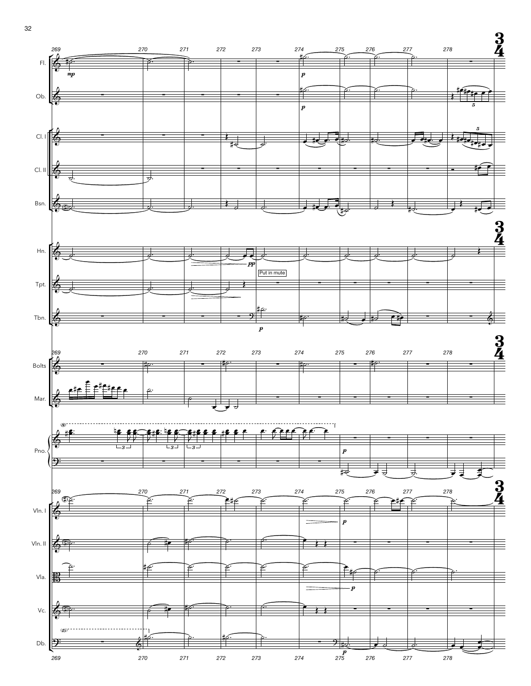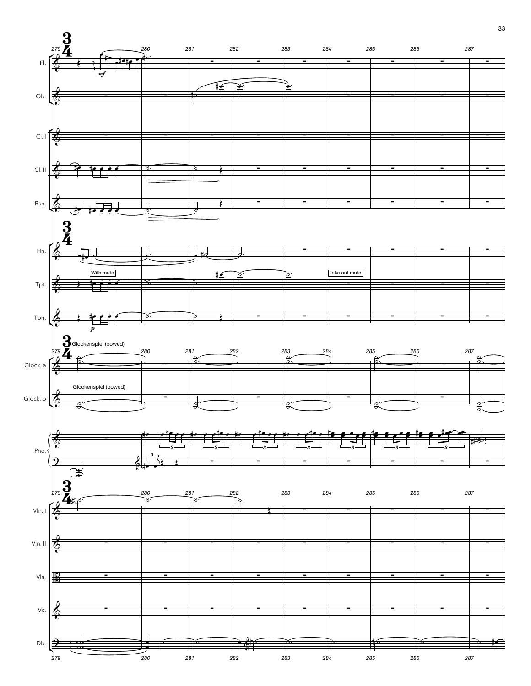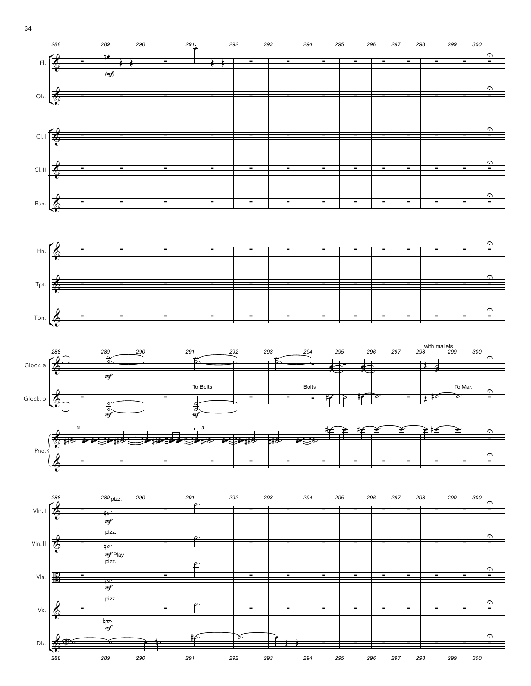

*288 289 290 291 292 293 294 295 296 297 298 299 300*

 $\mathcal{L}$ 

34

Db.  $\left[\bigoplus_{n=1}^{\infty} \frac{d^n p^n}{n!} \right]$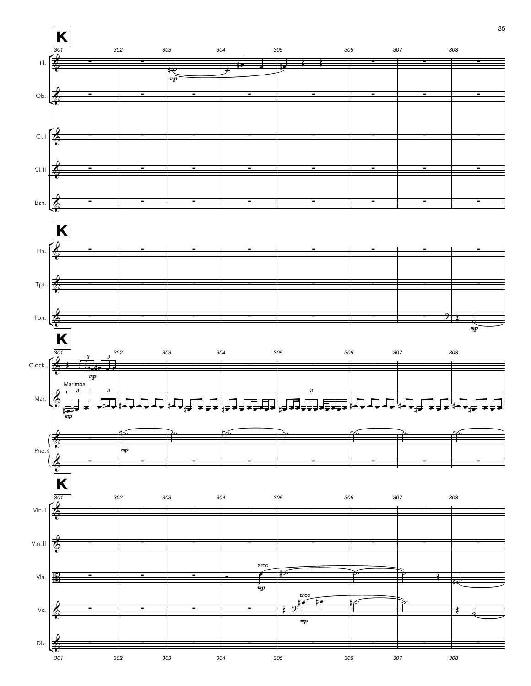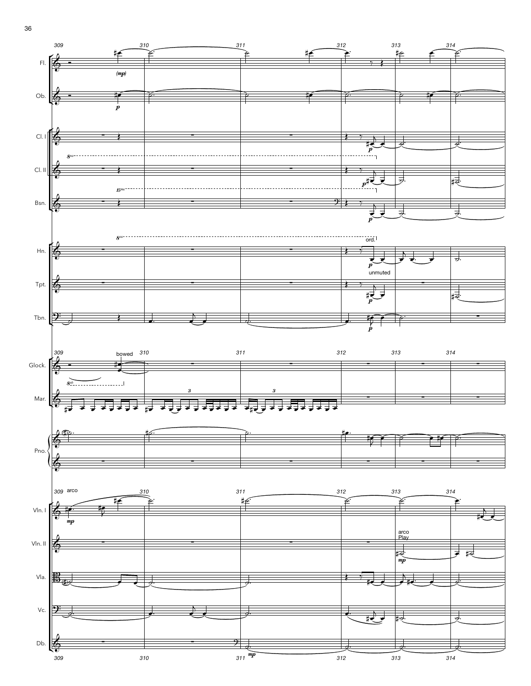